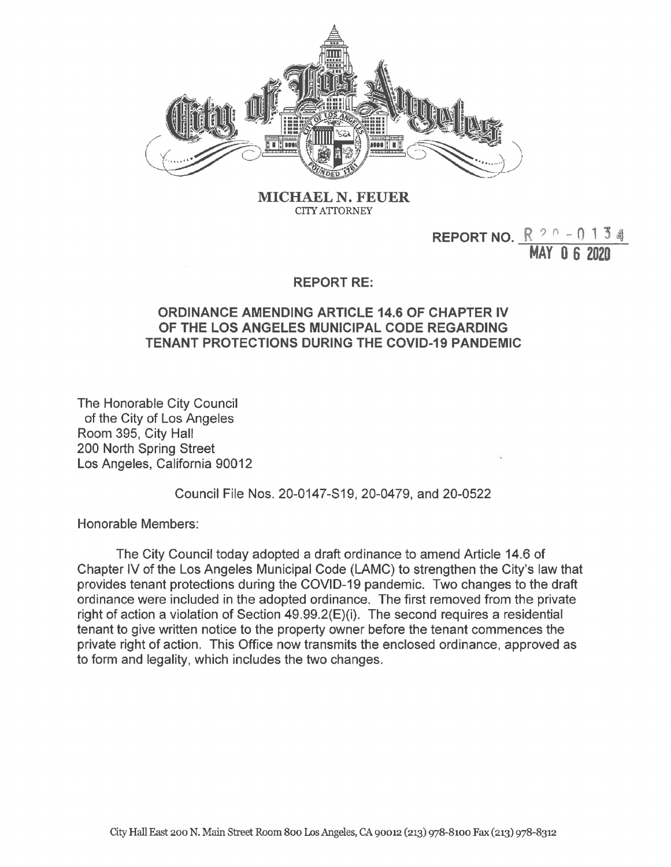

**MICHAEL N. FEUER CITY ATTORNEY**

## **REPORT NO.**  $R^{90} - 0134$ **HAY 0 6 2020**

## **REPORT RE:**

## **ORDINANCE AMENDING ARTICLE 14.6 OF CHAPTER IV OF THE LOS ANGELES MUNICIPAL CODE REGARDING TENANT PROTECTIONS DURING THE COVID-19 PANDEMIC**

The Honorable City Council of the City of Los Angeles Room 395, City Hall 200 North Spring Street Los Angeles, California 90012

Council File Nos. 20-0147-S19, 20-0479, and 20-0522

Honorable Members:

The City Council today adopted a draft ordinance to amend Article 14.6 of Chapter IV of the Los Angeles Municipal Code (LAMC) to strengthen the City's law that provides tenant protections during the COVID-19 pandemic. Two changes to the draft ordinance were included in the adopted ordinance. The first removed from the private right of action a violation of Section 49.99.2(E)(i). The second requires a residential tenant to give written notice to the property owner before the tenant commences the private right of action. This Office now transmits the enclosed ordinance, approved as to form and legality, which includes the two changes.